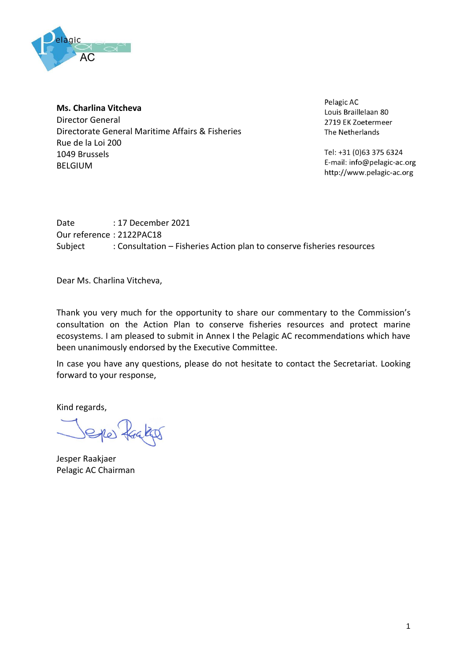

## **Ms. Charlina Vitcheva**

Director General Directorate General Maritime Affairs & Fisheries Rue de la Loi 200 1049 Brussels BELGIUM

Pelagic AC Louis Braillelaan 80 2719 EK Zoetermeer The Netherlands

Tel: +31 (0)63 375 6324 E-mail: info@pelagic-ac.org http://www.pelagic-ac.org

Date : 17 December 2021 Our reference : 2122PAC18 Subject : Consultation – Fisheries Action plan to conserve fisheries resources

Dear Ms. Charlina Vitcheva,

Thank you very much for the opportunity to share our commentary to the Commission's consultation on the Action Plan to conserve fisheries resources and protect marine ecosystems. I am pleased to submit in Annex I the Pelagic AC recommendations which have been unanimously endorsed by the Executive Committee.

In case you have any questions, please do not hesitate to contact the Secretariat. Looking forward to your response,

Kind regards,

Sho) Kages

Jesper Raakjaer Pelagic AC Chairman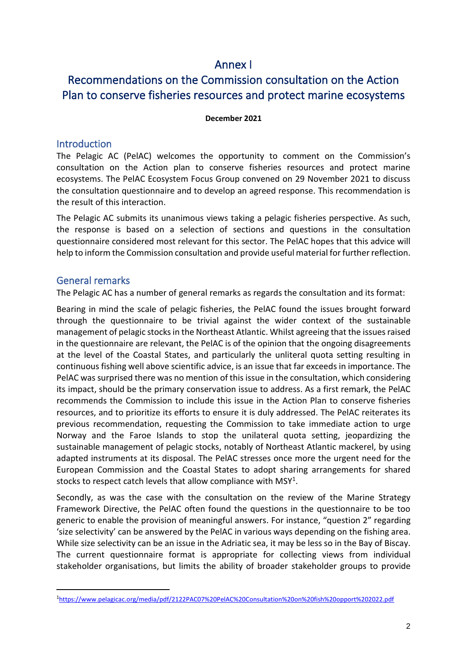## Annex I

# Recommendations on the Commission consultation on the Action Plan to conserve fisheries resources and protect marine ecosystems

#### **December 2021**

### **Introduction**

The Pelagic AC (PelAC) welcomes the opportunity to comment on the Commission's consultation on the Action plan to conserve fisheries resources and protect marine ecosystems. The PelAC Ecosystem Focus Group convened on 29 November 2021 to discuss the consultation questionnaire and to develop an agreed response. This recommendation is the result of this interaction.

The Pelagic AC submits its unanimous views taking a pelagic fisheries perspective. As such, the response is based on a selection of sections and questions in the consultation questionnaire considered most relevant for this sector. The PelAC hopes that this advice will help to inform the Commission consultation and provide useful material for further reflection.

### General remarks

The Pelagic AC has a number of general remarks as regards the consultation and its format:

Bearing in mind the scale of pelagic fisheries, the PelAC found the issues brought forward through the questionnaire to be trivial against the wider context of the sustainable management of pelagic stocks in the Northeast Atlantic. Whilst agreeing that the issues raised in the questionnaire are relevant, the PelAC is of the opinion that the ongoing disagreements at the level of the Coastal States, and particularly the unliteral quota setting resulting in continuous fishing well above scientific advice, is an issue that far exceeds in importance. The PelAC was surprised there was no mention of this issue in the consultation, which considering its impact, should be the primary conservation issue to address. As a first remark, the PelAC recommends the Commission to include this issue in the Action Plan to conserve fisheries resources, and to prioritize its efforts to ensure it is duly addressed. The PelAC reiterates its previous recommendation, requesting the Commission to take immediate action to urge Norway and the Faroe Islands to stop the unilateral quota setting, jeopardizing the sustainable management of pelagic stocks, notably of Northeast Atlantic mackerel, by using adapted instruments at its disposal. The PelAC stresses once more the urgent need for the European Commission and the Coastal States to adopt sharing arrangements for shared stocks to respect catch levels that allow compliance with MSY<sup>1</sup>.

Secondly, as was the case with the consultation on the review of the Marine Strategy Framework Directive, the PelAC often found the questions in the questionnaire to be too generic to enable the provision of meaningful answers. For instance, "question 2" regarding 'size selectivity' can be answered by the PelAC in various ways depending on the fishing area. While size selectivity can be an issue in the Adriatic sea, it may be less so in the Bay of Biscay. The current questionnaire format is appropriate for collecting views from individual stakeholder organisations, but limits the ability of broader stakeholder groups to provide

<sup>1</sup><https://www.pelagicac.org/media/pdf/2122PAC07%20PelAC%20Consultation%20on%20fish%20opport%202022.pdf>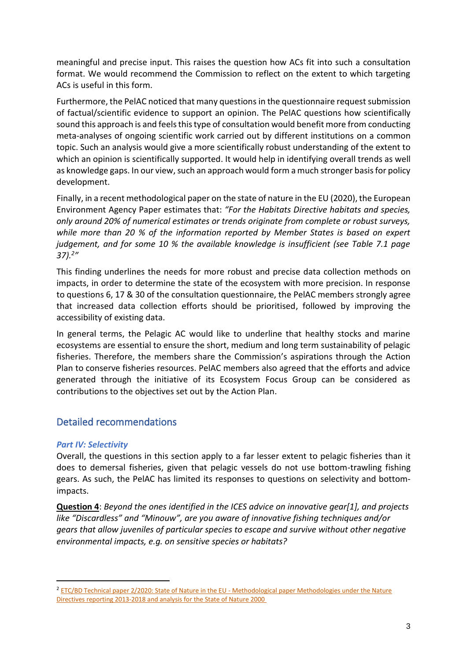meaningful and precise input. This raises the question how ACs fit into such a consultation format. We would recommend the Commission to reflect on the extent to which targeting ACs is useful in this form.

Furthermore, the PelAC noticed that many questions in the questionnaire request submission of factual/scientific evidence to support an opinion. The PelAC questions how scientifically sound this approach is and feels this type of consultation would benefit more from conducting meta-analyses of ongoing scientific work carried out by different institutions on a common topic. Such an analysis would give a more scientifically robust understanding of the extent to which an opinion is scientifically supported. It would help in identifying overall trends as well as knowledge gaps. In our view, such an approach would form a much stronger basis for policy development.

Finally, in a recent methodological paper on the state of nature in the EU (2020), the European Environment Agency Paper estimates that: *"For the Habitats Directive habitats and species, only around 20% of numerical estimates or trends originate from complete or robust surveys, while more than 20 % of the information reported by Member States is based on expert judgement, and for some 10 % the available knowledge is insufficient (see Table 7.1 page 37).<sup>2</sup> "*

This finding underlines the needs for more robust and precise data collection methods on impacts, in order to determine the state of the ecosystem with more precision. In response to questions 6, 17 & 30 of the consultation questionnaire, the PelAC members strongly agree that increased data collection efforts should be prioritised, followed by improving the accessibility of existing data.

In general terms, the Pelagic AC would like to underline that healthy stocks and marine ecosystems are essential to ensure the short, medium and long term sustainability of pelagic fisheries. Therefore, the members share the Commission's aspirations through the Action Plan to conserve fisheries resources. PelAC members also agreed that the efforts and advice generated through the initiative of its Ecosystem Focus Group can be considered as contributions to the objectives set out by the Action Plan.

## Detailed recommendations

#### *Part IV: Selectivity*

Overall, the questions in this section apply to a far lesser extent to pelagic fisheries than it does to demersal fisheries, given that pelagic vessels do not use bottom-trawling fishing gears. As such, the PelAC has limited its responses to questions on selectivity and bottomimpacts.

**Question 4**: *Beyond the ones identified in the ICES advice on innovative gear[1], and projects like "Discardless" and "Minouw", are you aware of innovative fishing techniques and/or gears that allow juveniles of particular species to escape and survive without other negative environmental impacts, e.g. on sensitive species or habitats?*

<sup>&</sup>lt;sup>2</sup> [ETC/BD Technical paper 2/2020: State of Nature in the EU -](https://www.eionet.europa.eu/etcs/etc-bd/products/etc-bd-reports/etc-bd-technical-paper-2-2020-state-of-nature-in-the-eu-methodological-paper-methodologies-under-the-nature-directives-reporting-2013-2018-and-analysis-for-the-state-of-nature-2000/@@download/file/EU%20State%20of%20Nature%20-%20Methodological%20paper.pdf) Methodological paper Methodologies under the Nature [Directives reporting 2013-2018 and analysis for the State of Nature 2000](https://www.eionet.europa.eu/etcs/etc-bd/products/etc-bd-reports/etc-bd-technical-paper-2-2020-state-of-nature-in-the-eu-methodological-paper-methodologies-under-the-nature-directives-reporting-2013-2018-and-analysis-for-the-state-of-nature-2000/@@download/file/EU%20State%20of%20Nature%20-%20Methodological%20paper.pdf)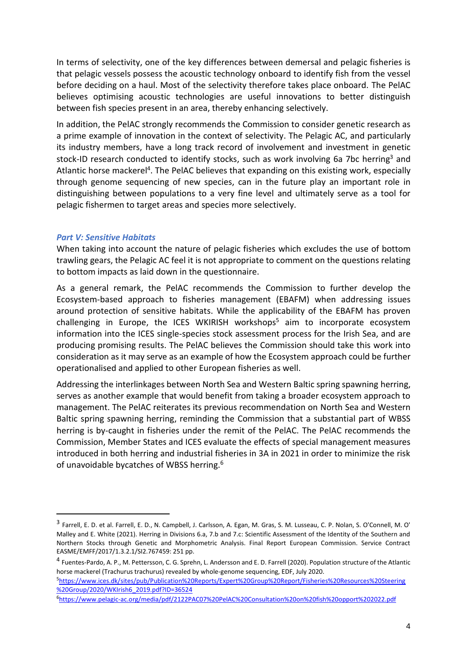In terms of selectivity, one of the key differences between demersal and pelagic fisheries is that pelagic vessels possess the acoustic technology onboard to identify fish from the vessel before deciding on a haul. Most of the selectivity therefore takes place onboard. The PelAC believes optimising acoustic technologies are useful innovations to better distinguish between fish species present in an area, thereby enhancing selectively.

In addition, the PelAC strongly recommends the Commission to consider genetic research as a prime example of innovation in the context of selectivity. The Pelagic AC, and particularly its industry members, have a long track record of involvement and investment in genetic stock-ID research conducted to identify stocks, such as work involving 6a 7bc herring<sup>3</sup> and Atlantic horse mackerel<sup>4</sup>. The PelAC believes that expanding on this existing work, especially through genome sequencing of new species, can in the future play an important role in distinguishing between populations to a very fine level and ultimately serve as a tool for pelagic fishermen to target areas and species more selectively.

#### *Part V: Sensitive Habitats*

When taking into account the nature of pelagic fisheries which excludes the use of bottom trawling gears, the Pelagic AC feel it is not appropriate to comment on the questions relating to bottom impacts as laid down in the questionnaire.

As a general remark, the PelAC recommends the Commission to further develop the Ecosystem-based approach to fisheries management (EBAFM) when addressing issues around protection of sensitive habitats. While the applicability of the EBAFM has proven challenging in Europe, the ICES WKIRISH workshops<sup>5</sup> aim to incorporate ecosystem information into the ICES single-species stock assessment process for the Irish Sea, and are producing promising results. The PelAC believes the Commission should take this work into consideration as it may serve as an example of how the Ecosystem approach could be further operationalised and applied to other European fisheries as well.

Addressing the interlinkages between North Sea and Western Baltic spring spawning herring, serves as another example that would benefit from taking a broader ecosystem approach to management. The PelAC reiterates its previous recommendation on North Sea and Western Baltic spring spawning herring, reminding the Commission that a substantial part of WBSS herring is by-caught in fisheries under the remit of the PelAC. The PelAC recommends the Commission, Member States and ICES evaluate the effects of special management measures introduced in both herring and industrial fisheries in 3A in 2021 in order to minimize the risk of unavoidable bycatches of WBSS herring.<sup>6</sup>

<sup>&</sup>lt;sup>3</sup> Farrell, E. D. et al. Farrell, E. D., N. Campbell, J. Carlsson, A. Egan, M. Gras, S. M. Lusseau, C. P. Nolan, S. O'Connell, M. O' Malley and E. White (2021). Herring in Divisions 6.a, 7.b and 7.c: Scientific Assessment of the Identity of the Southern and Northern Stocks through Genetic and Morphometric Analysis. Final Report European Commission. Service Contract EASME/EMFF/2017/1.3.2.1/SI2.767459: 251 pp.

<sup>&</sup>lt;sup>4</sup> Fuentes-Pardo, A. P., M. Pettersson, C. G. Sprehn, L. Andersson and E. D. Farrell (2020). Population structure of the Atlantic horse mackerel (Trachurus trachurus) revealed by whole-genome sequencing, EDF, July 2020.

<sup>5</sup>[https://www.ices.dk/sites/pub/Publication%20Reports/Expert%20Group%20Report/Fisheries%20Resources%20Steering](https://www.ices.dk/sites/pub/Publication%20Reports/Expert%20Group%20Report/Fisheries%20Resources%20Steering%20Group/2020/WKIrish6_2019.pdf?ID=36524) [%20Group/2020/WKIrish6\\_2019.pdf?ID=36524](https://www.ices.dk/sites/pub/Publication%20Reports/Expert%20Group%20Report/Fisheries%20Resources%20Steering%20Group/2020/WKIrish6_2019.pdf?ID=36524)

<sup>6</sup><https://www.pelagic-ac.org/media/pdf/2122PAC07%20PelAC%20Consultation%20on%20fish%20opport%202022.pdf>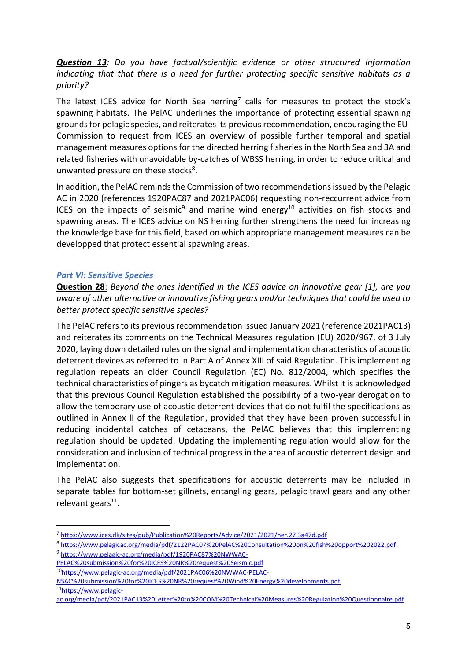*Question 13: Do you have factual/scientific evidence or other structured information indicating that that there is a need for further protecting specific sensitive habitats as a priority?*

The latest ICES advice for North Sea herring<sup>7</sup> calls for measures to protect the stock's spawning habitats. The PelAC underlines the importance of protecting essential spawning grounds for pelagic species, and reiterates its previous recommendation, encouraging the EU-Commission to request from ICES an overview of possible further temporal and spatial management measures options for the directed herring fisheries in the North Sea and 3A and related fisheries with unavoidable by-catches of WBSS herring, in order to reduce critical and unwanted pressure on these stocks<sup>8</sup>.

In addition, the PelAC reminds the Commission of two recommendations issued by the Pelagic AC in 2020 (references 1920PAC87 and 2021PAC06) requesting non-reccurrent advice from ICES on the impacts of seismic<sup>9</sup> and marine wind energy<sup>10</sup> activities on fish stocks and spawning areas. The ICES advice on NS herring further strengthens the need for increasing the knowledge base for this field, based on which appropriate management measures can be developped that protect essential spawning areas.

#### *Part VI: Sensitive Species*

**Question 28**: *Beyond the ones identified in the ICES advice on innovative gear [1], are you aware of other alternative or innovative fishing gears and/or techniques that could be used to better protect specific sensitive species?*

The PelAC refers to its previous recommendation issued January 2021 (reference 2021PAC13) and reiterates its comments on the Technical Measures regulation (EU) 2020/967, of 3 July 2020, laying down detailed rules on the signal and implementation characteristics of acoustic deterrent devices as referred to in Part A of Annex XIII of said Regulation. This implementing regulation repeats an older Council Regulation (EC) No. 812/2004, which specifies the technical characteristics of pingers as bycatch mitigation measures. Whilst it is acknowledged that this previous Council Regulation established the possibility of a two-year derogation to allow the temporary use of acoustic deterrent devices that do not fulfil the specifications as outlined in Annex II of the Regulation, provided that they have been proven successful in reducing incidental catches of cetaceans, the PelAC believes that this implementing regulation should be updated. Updating the implementing regulation would allow for the consideration and inclusion of technical progress in the area of acoustic deterrent design and implementation.

The PelAC also suggests that specifications for acoustic deterrents may be included in separate tables for bottom-set gillnets, entangling gears, pelagic trawl gears and any other relevant gears<sup>11</sup>.

- [PELAC%20submission%20for%20ICES%20NR%20request%20Seismic.pdf](https://www.pelagic-ac.org/media/pdf/1920PAC87%20NWWAC-PELAC%20submission%20for%20ICES%20NR%20request%20Seismic.pdf)
- <sup>10</sup>[https://www.pelagic-ac.org/media/pdf/2021PAC06%20NWWAC-PELAC-](https://www.pelagic-ac.org/media/pdf/2021PAC06%20NWWAC-PELAC-NSAC%20submission%20for%20ICES%20NR%20request%20Wind%20Energy%20developments.pdf)

<sup>7</sup> <https://www.ices.dk/sites/pub/Publication%20Reports/Advice/2021/2021/her.27.3a47d.pdf>

<sup>8</sup> <https://www.pelagicac.org/media/pdf/2122PAC07%20PelAC%20Consultation%20on%20fish%20opport%202022.pdf> <sup>9</sup> [https://www.pelagic-ac.org/media/pdf/1920PAC87%20NWWAC-](https://www.pelagic-ac.org/media/pdf/1920PAC87%20NWWAC-PELAC%20submission%20for%20ICES%20NR%20request%20Seismic.pdf)

[NSAC%20submission%20for%20ICES%20NR%20request%20Wind%20Energy%20developments.pdf](https://www.pelagic-ac.org/media/pdf/2021PAC06%20NWWAC-PELAC-NSAC%20submission%20for%20ICES%20NR%20request%20Wind%20Energy%20developments.pdf) 11<sub>https://www.pelagic-</sub>

[ac.org/media/pdf/2021PAC13%20Letter%20to%20COM%20Technical%20Measures%20Regulation%20Questionnaire.pdf](https://www.pelagic-ac.org/media/pdf/2021PAC13%20Letter%20to%20COM%20Technical%20Measures%20Regulation%20Questionnaire.pdf)